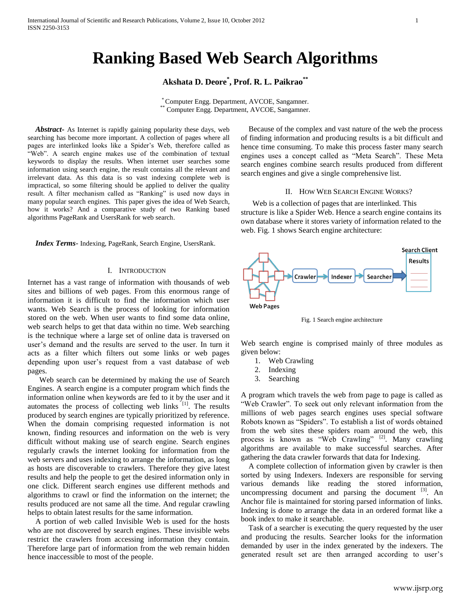# **Ranking Based Web Search Algorithms**

# **Akshata D. Deore\* , Prof. R. L. Paikrao\*\***

\* Computer Engg. Department, AVCOE, Sangamner. \*\* Computer Engg. Department, AVCOE, Sangamner.

 *Abstract***-** As Internet is rapidly gaining popularity these days, web searching has become more important. A collection of pages where all pages are interlinked looks like a Spider's Web, therefore called as "Web". A search engine makes use of the combination of textual keywords to display the results. When internet user searches some information using search engine, the result contains all the relevant and irrelevant data. As this data is so vast indexing complete web is impractical, so some filtering should be applied to deliver the quality result. A filter mechanism called as "Ranking" is used now days in many popular search engines. This paper gives the idea of Web Search, how it works? And a comparative study of two Ranking based algorithms PageRank and UsersRank for web search.

 *Index Terms*- Indexing, PageRank, Search Engine, UsersRank.

# I. INTRODUCTION

Internet has a vast range of information with thousands of web sites and billions of web pages. From this enormous range of information it is difficult to find the information which user wants. Web Search is the process of looking for information stored on the web. When user wants to find some data online, web search helps to get that data within no time. Web searching is the technique where a large set of online data is traversed on user's demand and the results are served to the user. In turn it acts as a filter which filters out some links or web pages depending upon user's request from a vast database of web pages.

 Web search can be determined by making the use of Search Engines. A search engine is a computer program which finds the information online when keywords are fed to it by the user and it automates the process of collecting web links  $[1]$ . The results produced by search engines are typically prioritized by reference. When the domain comprising requested information is not known, finding resources and information on the web is very difficult without making use of search engine. Search engines regularly crawls the internet looking for information from the web servers and uses indexing to arrange the information, as long as hosts are discoverable to crawlers. Therefore they give latest results and help the people to get the desired information only in one click. Different search engines use different methods and algorithms to crawl or find the information on the internet; the results produced are not same all the time. And regular crawling helps to obtain latest results for the same information.

 A portion of web called Invisible Web is used for the hosts who are not discovered by search engines. These invisible webs restrict the crawlers from accessing information they contain. Therefore large part of information from the web remain hidden hence inaccessible to most of the people.

 Because of the complex and vast nature of the web the process of finding information and producing results is a bit difficult and hence time consuming. To make this process faster many search engines uses a concept called as "Meta Search". These Meta search engines combine search results produced from different search engines and give a single comprehensive list.

# II. HOW WEB SEARCH ENGINE WORKS?

 Web is a collection of pages that are interlinked. This structure is like a Spider Web. Hence a search engine contains its own database where it stores variety of information related to the web. Fig. 1 shows Search engine architecture:



Fig. 1 Search engine architecture

Web search engine is comprised mainly of three modules as given below:

- 1. Web Crawling
- 2. Indexing
- 3. Searching

A program which travels the web from page to page is called as "Web Crawler". To seek out only relevant information from the millions of web pages search engines uses special software Robots known as "Spiders". To establish a list of words obtained from the web sites these spiders roam around the web, this process is known as "Web Crawling" [2]. Many crawling algorithms are available to make successful searches. After gathering the data crawler forwards that data for Indexing.

 A complete collection of information given by crawler is then sorted by using Indexers. Indexers are responsible for serving various demands like reading the stored information, uncompressing document and parsing the document  $[3]$ . An Anchor file is maintained for storing parsed information of links. Indexing is done to arrange the data in an ordered format like a book index to make it searchable.

 Task of a searcher is executing the query requested by the user and producing the results. Searcher looks for the information demanded by user in the index generated by the indexers. The generated result set are then arranged according to user's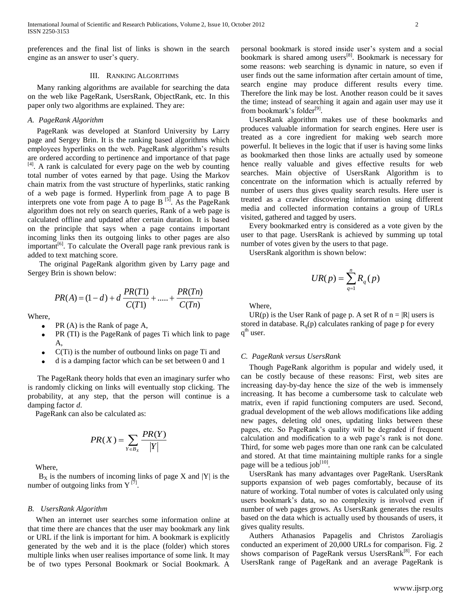preferences and the final list of links is shown in the search engine as an answer to user's query.

#### III. RANKING ALGORITHMS

 Many ranking algorithms are available for searching the data on the web like PageRank, UsersRank, ObjectRank, etc. In this paper only two algorithms are explained. They are:

## *A. PageRank Algorithm*

 PageRank was developed at Stanford University by Larry page and Sergey Brin. It is the ranking based algorithms which employees hyperlinks on the web. PageRank algorithm's results are ordered according to pertinence and importance of that page  $[4]$ . A rank is calculated for every page on the web by counting total number of votes earned by that page. Using the Markov chain matrix from the vast structure of hyperlinks, static ranking of a web page is formed. Hyperlink from page A to page B interprets one vote from page A to page B  $[5]$ . As the PageRank algorithm does not rely on search queries, Rank of a web page is calculated offline and updated after certain duration. It is based on the principle that says when a page contains important incoming links then its outgoing links to other pages are also important<sup>[6]</sup>. To calculate the Overall page rank previous rank is added to text matching score.

 The original PageRank algorithm given by Larry page and Sergey Brin is shown below:

$$
PR(A) = (1 - d) + d \frac{PR(T1)}{C(T1)} + \dots + \frac{PR(Tn)}{C(Tn)}
$$

Where,

- PR (A) is the Rank of page A,
- PR (TI) is the PageRank of pages Ti which link to page A,
- C(Ti) is the number of outbound links on page Ti and
- d is a damping factor which can be set between 0 and 1

 The PageRank theory holds that even an imaginary surfer who is randomly clicking on links will eventually stop clicking. The probability, at any step, that the person will continue is a damping factor *d*.

PageRank can also be calculated as:

$$
PR(X) = \sum_{Y \in B_X} \frac{PR(Y)}{|Y|}
$$

Where,

 $B_X$  is the numbers of incoming links of page X and |Y| is the number of outgoing links from  $Y^{[7]}$ .

#### *B. UsersRank Algorithm*

When an internet user searches some information online at that time there are chances that the user may bookmark any link or URL if the link is important for him. A bookmark is explicitly generated by the web and it is the place (folder) which stores multiple links when user realises importance of some link. It may be of two types Personal Bookmark or Social Bookmark. A

personal bookmark is stored inside user's system and a social bookmark is shared among users<sup>[8]</sup>. Bookmark is necessary for some reasons: web searching is dynamic in nature, so even if user finds out the same information after certain amount of time, search engine may produce different results every time. Therefore the link may be lost. Another reason could be it saves the time; instead of searching it again and again user may use it from bookmark's folder<sup>[9]</sup>.

UsersRank algorithm makes use of these bookmarks and produces valuable information for search engines. Here user is treated as a core ingredient for making web search more powerful. It believes in the logic that if user is having some links as bookmarked then those links are actually used by someone hence really valuable and gives effective results for web searches. Main objective of UsersRank Algorithm is to concentrate on the information which is actually referred by number of users thus gives quality search results. Here user is treated as a crawler discovering information using different media and collected information contains a group of URLs visited, gathered and tagged by users.

Every bookmarked entry is considered as a vote given by the user to that page. UsersRank is achieved by summing up total number of votes given by the users to that page.

UsersRank algorithm is shown below:

$$
UR(p) = \sum_{q=1}^{n} R_q(p)
$$

Where,

UR(p) is the User Rank of page p. A set R of  $n = |R|$  users is stored in database.  $R_q(p)$  calculates ranking of page p for every q<sup>th</sup> user.

## *C. PageRank versus UsersRank*

Though PageRank algorithm is popular and widely used, it can be costly because of these reasons: First, web sites are increasing day-by-day hence the size of the web is immensely increasing. It has become a cumbersome task to calculate web matrix, even if rapid functioning computers are used. Second, gradual development of the web allows modifications like adding new pages, deleting old ones, updating links between these pages, etc. So PageRank's quality will be degraded if frequent calculation and modification to a web page's rank is not done. Third, for some web pages more than one rank can be calculated and stored. At that time maintaining multiple ranks for a single page will be a tedious job $^{[10]}$ .

UsersRank has many advantages over PageRank. UsersRank supports expansion of web pages comfortably, because of its nature of working. Total number of votes is calculated only using users bookmark's data, so no complexity is involved even if number of web pages grows. As UsersRank generates the results based on the data which is actually used by thousands of users, it gives quality results.

Authers Athanasios Papagelis and Christos Zaroliagis conducted an experiment of 20,000 URLs for comparison. Fig. 2 shows comparison of PageRank versus UsersRank<sup>[8]</sup>. For each UsersRank range of PageRank and an average PageRank is